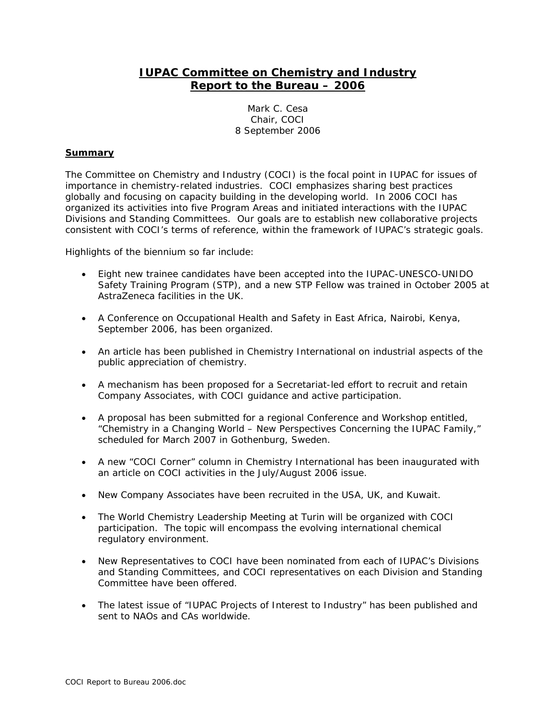# **IUPAC Committee on Chemistry and Industry Report to the Bureau – 2006**

Mark C. Cesa Chair, COCI 8 September 2006

# **Summary**

The Committee on Chemistry and Industry (COCI) is the focal point in IUPAC for issues of importance in chemistry-related industries. COCI emphasizes sharing best practices globally and focusing on capacity building in the developing world. In 2006 COCI has organized its activities into five Program Areas and initiated interactions with the IUPAC Divisions and Standing Committees. Our goals are to establish new collaborative projects consistent with COCI's terms of reference, within the framework of IUPAC's strategic goals.

Highlights of the biennium so far include:

- Eight new trainee candidates have been accepted into the IUPAC-UNESCO-UNIDO Safety Training Program (STP), and a new STP Fellow was trained in October 2005 at AstraZeneca facilities in the UK.
- A Conference on Occupational Health and Safety in East Africa, Nairobi, Kenya, September 2006, has been organized.
- An article has been published in *Chemistry International* on industrial aspects of the public appreciation of chemistry.
- A mechanism has been proposed for a Secretariat-led effort to recruit and retain Company Associates, with COCI guidance and active participation.
- A proposal has been submitted for a regional Conference and Workshop entitled, "Chemistry in a Changing World – New Perspectives Concerning the IUPAC Family," scheduled for March 2007 in Gothenburg, Sweden.
- A new "COCI Corner" column in *Chemistry International* has been inaugurated with an article on COCI activities in the July/August 2006 issue.
- New Company Associates have been recruited in the USA, UK, and Kuwait.
- The World Chemistry Leadership Meeting at Turin will be organized with COCI participation. The topic will encompass the evolving international chemical regulatory environment.
- New Representatives to COCI have been nominated from each of IUPAC's Divisions and Standing Committees, and COCI representatives on each Division and Standing Committee have been offered.
- The latest issue of "IUPAC Projects of Interest to Industry" has been published and sent to NAOs and CAs worldwide.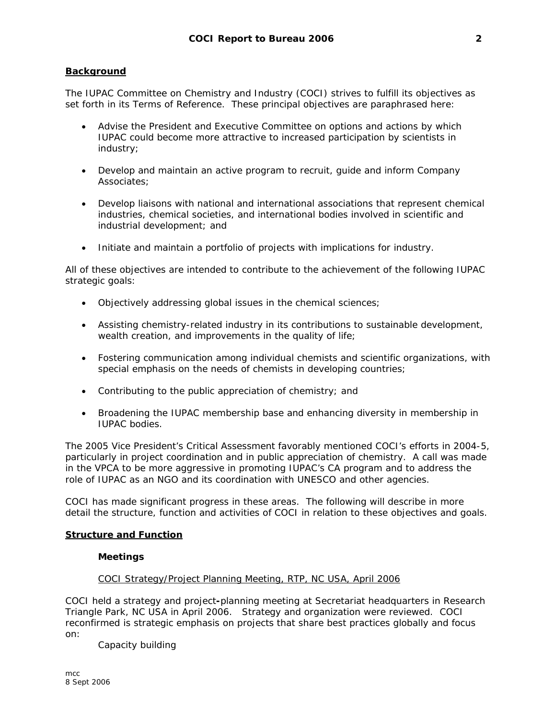## **Background**

The IUPAC Committee on Chemistry and Industry (COCI) strives to fulfill its objectives as set forth in its Terms of Reference. These principal objectives are paraphrased here:

- Advise the President and Executive Committee on options and actions by which IUPAC could become more attractive to increased participation by scientists in industry;
- Develop and maintain an active program to recruit, guide and inform Company Associates;
- Develop liaisons with national and international associations that represent chemical industries, chemical societies, and international bodies involved in scientific and industrial development; and
- Initiate and maintain a portfolio of projects with implications for industry.

All of these objectives are intended to contribute to the achievement of the following IUPAC strategic goals:

- Objectively addressing global issues in the chemical sciences;
- Assisting chemistry-related industry in its contributions to sustainable development, wealth creation, and improvements in the quality of life;
- Fostering communication among individual chemists and scientific organizations, with special emphasis on the needs of chemists in developing countries;
- Contributing to the public appreciation of chemistry; and
- Broadening the IUPAC membership base and enhancing diversity in membership in IUPAC bodies.

The 2005 Vice President's Critical Assessment favorably mentioned COCI's efforts in 2004-5, particularly in project coordination and in public appreciation of chemistry. A call was made in the VPCA to be more aggressive in promoting IUPAC's CA program and to address the role of IUPAC as an NGO and its coordination with UNESCO and other agencies.

COCI has made significant progress in these areas. The following will describe in more detail the structure, function and activities of COCI in relation to these objectives and goals.

#### **Structure and Function**

#### **Meetings**

## COCI Strategy/Project Planning Meeting, RTP, NC USA, April 2006

COCI held a strategy and project**-**planning meeting at Secretariat headquarters in Research Triangle Park, NC USA in April 2006. Strategy and organization were reviewed. COCI reconfirmed is strategic emphasis on projects that share best practices globally and focus on:

Capacity building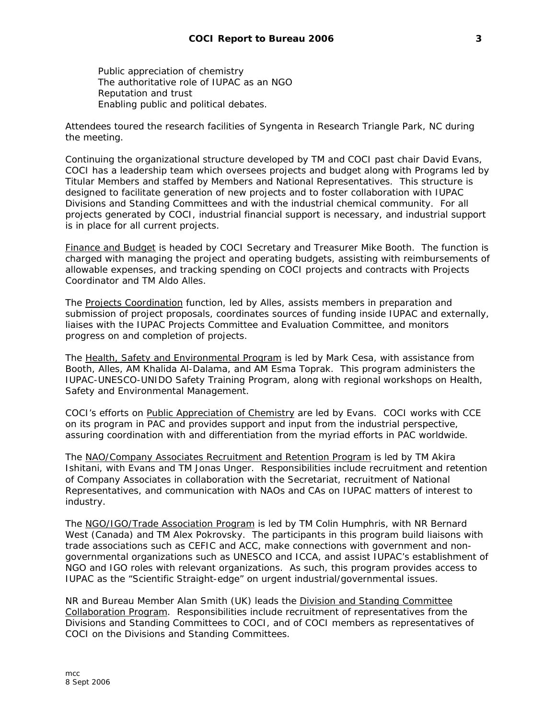Public appreciation of chemistry The authoritative role of IUPAC as an NGO Reputation and trust Enabling public and political debates.

Attendees toured the research facilities of Syngenta in Research Triangle Park, NC during the meeting.

Continuing the organizational structure developed by TM and COCI past chair David Evans, COCI has a leadership team which oversees projects and budget along with Programs led by Titular Members and staffed by Members and National Representatives. This structure is designed to facilitate generation of new projects and to foster collaboration with IUPAC Divisions and Standing Committees and with the industrial chemical community. For all projects generated by COCI, industrial financial support is necessary, and industrial support is in place for all current projects.

Finance and Budget is headed by COCI Secretary and Treasurer Mike Booth. The function is charged with managing the project and operating budgets, assisting with reimbursements of allowable expenses, and tracking spending on COCI projects and contracts with Projects Coordinator and TM Aldo Alles.

The Projects Coordination function, led by Alles, assists members in preparation and submission of project proposals, coordinates sources of funding inside IUPAC and externally, liaises with the IUPAC Projects Committee and Evaluation Committee, and monitors progress on and completion of projects.

The Health, Safety and Environmental Program is led by Mark Cesa, with assistance from Booth, Alles, AM Khalida Al-Dalama, and AM Esma Toprak. This program administers the IUPAC-UNESCO-UNIDO Safety Training Program, along with regional workshops on Health, Safety and Environmental Management.

COCI's efforts on Public Appreciation of Chemistry are led by Evans. COCI works with CCE on its program in PAC and provides support and input from the industrial perspective, assuring coordination with and differentiation from the myriad efforts in PAC worldwide.

The NAO/Company Associates Recruitment and Retention Program is led by TM Akira Ishitani, with Evans and TM Jonas Unger. Responsibilities include recruitment and retention of Company Associates in collaboration with the Secretariat, recruitment of National Representatives, and communication with NAOs and CAs on IUPAC matters of interest to industry.

The NGO/IGO/Trade Association Program is led by TM Colin Humphris, with NR Bernard West (Canada) and TM Alex Pokrovsky. The participants in this program build liaisons with trade associations such as CEFIC and ACC, make connections with government and nongovernmental organizations such as UNESCO and ICCA, and assist IUPAC's establishment of NGO and IGO roles with relevant organizations. As such, this program provides access to IUPAC as the "Scientific Straight-edge" on urgent industrial/governmental issues.

NR and Bureau Member Alan Smith (UK) leads the Division and Standing Committee Collaboration Program. Responsibilities include recruitment of representatives from the Divisions and Standing Committees to COCI, and of COCI members as representatives of COCI on the Divisions and Standing Committees.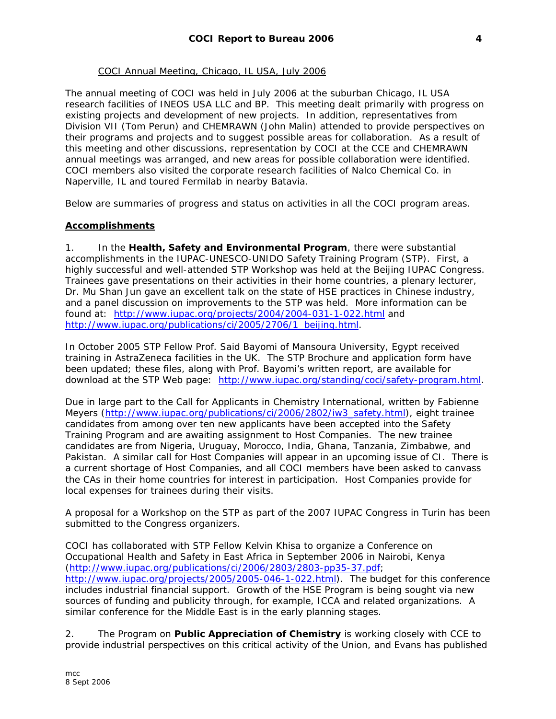## COCI Annual Meeting, Chicago, IL USA, July 2006

The annual meeting of COCI was held in July 2006 at the suburban Chicago, IL USA research facilities of INEOS USA LLC and BP. This meeting dealt primarily with progress on existing projects and development of new projects. In addition, representatives from Division VII (Tom Perun) and CHEMRAWN (John Malin) attended to provide perspectives on their programs and projects and to suggest possible areas for collaboration. As a result of this meeting and other discussions, representation by COCI at the CCE and CHEMRAWN annual meetings was arranged, and new areas for possible collaboration were identified. COCI members also visited the corporate research facilities of Nalco Chemical Co. in Naperville, IL and toured Fermilab in nearby Batavia.

Below are summaries of progress and status on activities in all the COCI program areas.

## **Accomplishments**

1. In the **Health, Safety and Environmental Program**, there were substantial accomplishments in the IUPAC-UNESCO-UNIDO Safety Training Program (STP). First, a highly successful and well-attended STP Workshop was held at the Beijing IUPAC Congress. Trainees gave presentations on their activities in their home countries, a plenary lecturer, Dr. Mu Shan Jun gave an excellent talk on the state of HSE practices in Chinese industry, and a panel discussion on improvements to the STP was held. More information can be found at: http://www.iupac.org/projects/2004/2004-031-1-022.html and http://www.iupac.org/publications/ci/2005/2706/1\_beijing.html.

In October 2005 STP Fellow Prof. Said Bayomi of Mansoura University, Egypt received training in AstraZeneca facilities in the UK. The STP Brochure and application form have been updated; these files, along with Prof. Bayomi's written report, are available for download at the STP Web page: http://www.iupac.org/standing/coci/safety-program.html.

Due in large part to the Call for Applicants in *Chemistry International*, written by Fabienne Meyers (http://www.iupac.org/publications/ci/2006/2802/iw3\_safety.html), eight trainee candidates from among over ten new applicants have been accepted into the Safety Training Program and are awaiting assignment to Host Companies. The new trainee candidates are from Nigeria, Uruguay, Morocco, India, Ghana, Tanzania, Zimbabwe, and Pakistan. A similar call for Host Companies will appear in an upcoming issue of *CI*. There is a current shortage of Host Companies, and all COCI members have been asked to canvass the CAs in their home countries for interest in participation. Host Companies provide for local expenses for trainees during their visits.

A proposal for a Workshop on the STP as part of the 2007 IUPAC Congress in Turin has been submitted to the Congress organizers.

COCI has collaborated with STP Fellow Kelvin Khisa to organize a Conference on Occupational Health and Safety in East Africa in September 2006 in Nairobi, Kenya (http://www.iupac.org/publications/ci/2006/2803/2803-pp35-37.pdf; http://www.iupac.org/projects/2005/2005-046-1-022.html). The budget for this conference includes industrial financial support. Growth of the HSE Program is being sought via new sources of funding and publicity through, for example, ICCA and related organizations. A similar conference for the Middle East is in the early planning stages.

2. The Program on **Public Appreciation of Chemistry** is working closely with CCE to provide industrial perspectives on this critical activity of the Union, and Evans has published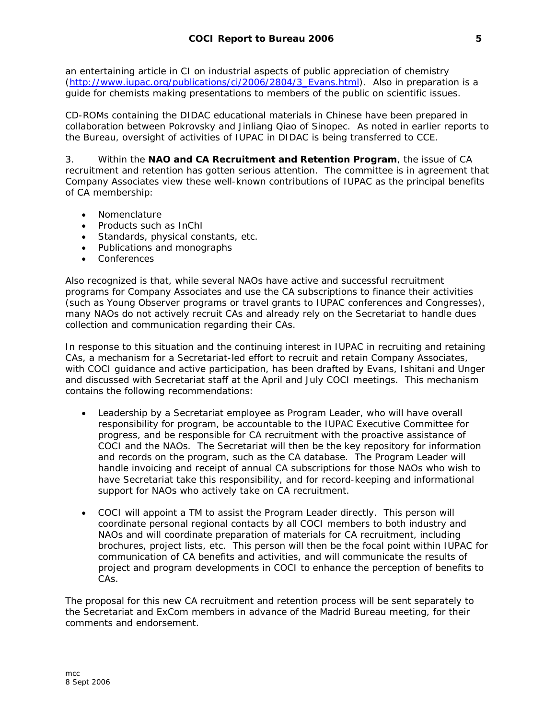an entertaining article in *CI* on industrial aspects of public appreciation of chemistry (http://www.iupac.org/publications/ci/2006/2804/3\_Evans.html). Also in preparation is a guide for chemists making presentations to members of the public on scientific issues.

CD-ROMs containing the DIDAC educational materials in Chinese have been prepared in collaboration between Pokrovsky and Jinliang Qiao of Sinopec. As noted in earlier reports to the Bureau, oversight of activities of IUPAC in DIDAC is being transferred to CCE.

3. Within the **NAO and CA Recruitment and Retention Program**, the issue of CA recruitment and retention has gotten serious attention. The committee is in agreement that Company Associates view these well-known contributions of IUPAC as the principal benefits of CA membership:

- Nomenclature
- Products such as InChI
- Standards, physical constants, etc.
- Publications and monographs
- Conferences

Also recognized is that, while several NAOs have active and successful recruitment programs for Company Associates and use the CA subscriptions to finance their activities (such as Young Observer programs or travel grants to IUPAC conferences and Congresses), many NAOs do not actively recruit CAs and already rely on the Secretariat to handle dues collection and communication regarding their CAs.

In response to this situation and the continuing interest in IUPAC in recruiting and retaining CAs, a mechanism for a Secretariat-led effort to recruit and retain Company Associates, with COCI guidance and active participation, has been drafted by Evans, Ishitani and Unger and discussed with Secretariat staff at the April and July COCI meetings. This mechanism contains the following recommendations:

- Leadership by a Secretariat employee as Program Leader, who will have overall responsibility for program, be accountable to the IUPAC Executive Committee for progress, and be responsible for CA recruitment with the proactive assistance of COCI and the NAOs. The Secretariat will then be the key repository for information and records on the program, such as the CA database. The Program Leader will handle invoicing and receipt of annual CA subscriptions for those NAOs who wish to have Secretariat take this responsibility, and for record-keeping and informational support for NAOs who actively take on CA recruitment.
- COCI will appoint a TM to assist the Program Leader directly. This person will coordinate personal regional contacts by all COCI members to both industry and NAOs and will coordinate preparation of materials for CA recruitment, including brochures, project lists, etc. This person will then be the focal point within IUPAC for communication of CA benefits and activities, and will communicate the results of project and program developments in COCI to enhance the perception of benefits to CAs.

The proposal for this new CA recruitment and retention process will be sent separately to the Secretariat and ExCom members in advance of the Madrid Bureau meeting, for their comments and endorsement.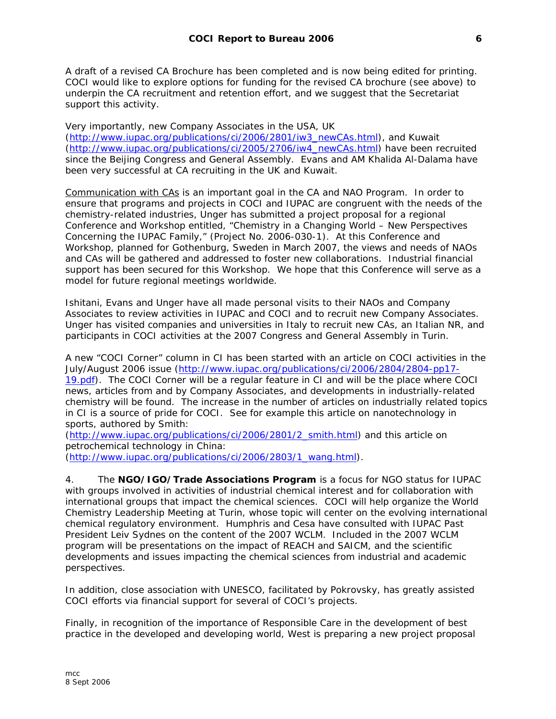A draft of a revised CA Brochure has been completed and is now being edited for printing. COCI would like to explore options for funding for the revised CA brochure (see above) to underpin the CA recruitment and retention effort, and we suggest that the Secretariat support this activity.

Very importantly, new Company Associates in the USA, UK (http://www.iupac.org/publications/ci/2006/2801/iw3\_newCAs.html), and Kuwait (http://www.iupac.org/publications/ci/2005/2706/iw4\_newCAs.html) have been recruited since the Beijing Congress and General Assembly. Evans and AM Khalida Al-Dalama have been very successful at CA recruiting in the UK and Kuwait.

Communication with CAs is an important goal in the CA and NAO Program. In order to ensure that programs and projects in COCI and IUPAC are congruent with the needs of the chemistry-related industries, Unger has submitted a project proposal for a regional Conference and Workshop entitled, "Chemistry in a Changing World – New Perspectives Concerning the IUPAC Family," (Project No. 2006-030-1). At this Conference and Workshop, planned for Gothenburg, Sweden in March 2007, the views and needs of NAOs and CAs will be gathered and addressed to foster new collaborations. Industrial financial support has been secured for this Workshop. We hope that this Conference will serve as a model for future regional meetings worldwide.

Ishitani, Evans and Unger have all made personal visits to their NAOs and Company Associates to review activities in IUPAC and COCI and to recruit new Company Associates. Unger has visited companies and universities in Italy to recruit new CAs, an Italian NR, and participants in COCI activities at the 2007 Congress and General Assembly in Turin.

A new "COCI Corner" column in *CI* has been started with an article on COCI activities in the July/August 2006 issue (http://www.iupac.org/publications/ci/2006/2804/2804-pp17- 19.pdf). The COCI Corner will be a regular feature in *CI* and will be the place where COCI news, articles from and by Company Associates, and developments in industrially-related chemistry will be found. The increase in the number of articles on industrially related topics in *CI* is a source of pride for COCI. See for example this article on nanotechnology in sports, authored by Smith:

(http://www.iupac.org/publications/ci/2006/2801/2\_smith.html) and this article on petrochemical technology in China:

(http://www.iupac.org/publications/ci/2006/2803/1\_wang.html).

4. The **NGO/IGO/Trade Associations Program** is a focus for NGO status for IUPAC with groups involved in activities of industrial chemical interest and for collaboration with international groups that impact the chemical sciences. COCI will help organize the World Chemistry Leadership Meeting at Turin, whose topic will center on the evolving international chemical regulatory environment. Humphris and Cesa have consulted with IUPAC Past President Leiv Sydnes on the content of the 2007 WCLM. Included in the 2007 WCLM program will be presentations on the impact of REACH and SAICM, and the scientific developments and issues impacting the chemical sciences from industrial and academic perspectives.

In addition, close association with UNESCO, facilitated by Pokrovsky, has greatly assisted COCI efforts via financial support for several of COCI's projects.

Finally, in recognition of the importance of Responsible Care in the development of best practice in the developed and developing world, West is preparing a new project proposal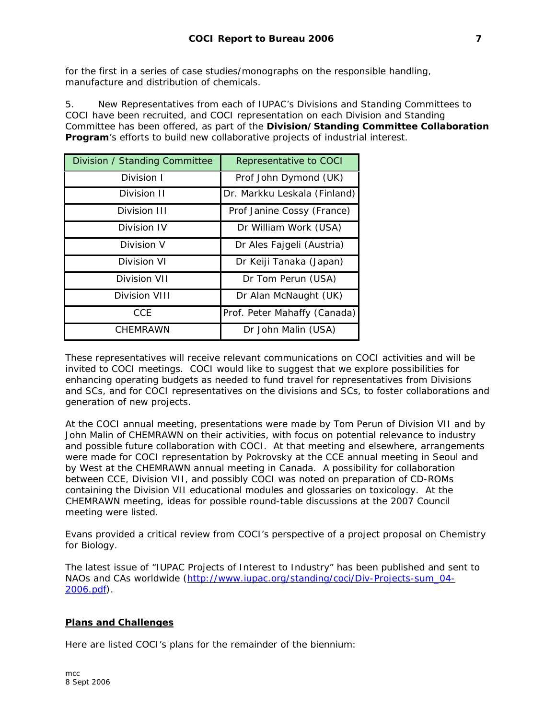for the first in a series of case studies/monographs on the responsible handling, manufacture and distribution of chemicals.

5. New Representatives from each of IUPAC's Divisions and Standing Committees to COCI have been recruited, and COCI representation on each Division and Standing Committee has been offered, as part of the **Division/Standing Committee Collaboration Program**'s efforts to build new collaborative projects of industrial interest.

| Division / Standing Committee | Representative to COCI       |
|-------------------------------|------------------------------|
| Division I                    | Prof John Dymond (UK)        |
| Division II                   | Dr. Markku Leskala (Finland) |
| Division III                  | Prof Janine Cossy (France)   |
| Division IV                   | Dr William Work (USA)        |
| Division V                    | Dr Ales Fajgeli (Austria)    |
| Division VI                   | Dr Keiji Tanaka (Japan)      |
| Division VII                  | Dr Tom Perun (USA)           |
| Division VIII                 | Dr Alan McNaught (UK)        |
| CCE                           | Prof. Peter Mahaffy (Canada) |
| CHEMRAWN                      | Dr John Malin (USA)          |

These representatives will receive relevant communications on COCI activities and will be invited to COCI meetings. COCI would like to suggest that we explore possibilities for enhancing operating budgets as needed to fund travel for representatives from Divisions and SCs, and for COCI representatives on the divisions and SCs, to foster collaborations and generation of new projects.

At the COCI annual meeting, presentations were made by Tom Perun of Division VII and by John Malin of CHEMRAWN on their activities, with focus on potential relevance to industry and possible future collaboration with COCI. At that meeting and elsewhere, arrangements were made for COCI representation by Pokrovsky at the CCE annual meeting in Seoul and by West at the CHEMRAWN annual meeting in Canada. A possibility for collaboration between CCE, Division VII, and possibly COCI was noted on preparation of CD-ROMs containing the Division VII educational modules and glossaries on toxicology. At the CHEMRAWN meeting, ideas for possible round-table discussions at the 2007 Council meeting were listed.

Evans provided a critical review from COCI's perspective of a project proposal on Chemistry for Biology.

The latest issue of "IUPAC Projects of Interest to Industry" has been published and sent to NAOs and CAs worldwide (http://www.iupac.org/standing/coci/Div-Projects-sum\_04- 2006.pdf).

## **Plans and Challenges**

Here are listed COCI's plans for the remainder of the biennium: